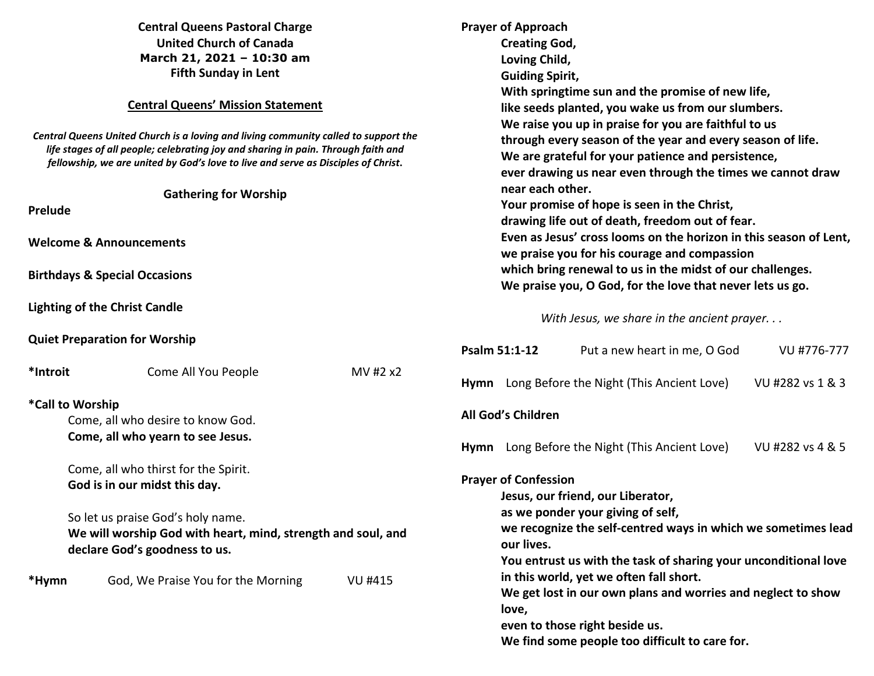| <b>Central Queens Pastoral Charge</b><br><b>United Church of Canada</b><br>March 21, 2021 - 10:30 am<br><b>Fifth Sunday in Lent</b><br><b>Central Queens' Mission Statement</b><br>Central Queens United Church is a loving and living community called to support the<br>life stages of all people; celebrating joy and sharing in pain. Through faith and<br>fellowship, we are united by God's love to live and serve as Disciples of Christ. |                                                                                                                                                                                                             |                | <b>Prayer of Approach</b><br><b>Creating God,</b><br>Loving Child,<br><b>Guiding Spirit,</b><br>With springtime sun and the promise of new life,<br>like seeds planted, you wake us from our slumbers.<br>We raise you up in praise for you are faithful to us<br>through every season of the year and every season of life.<br>We are grateful for your patience and persistence,<br>ever drawing us near even through the times we cannot draw<br>near each other.<br>Your promise of hope is seen in the Christ,<br>drawing life out of death, freedom out of fear. |                                           |                                                                                                                                                                                             |  |                                                                                                                                  |
|--------------------------------------------------------------------------------------------------------------------------------------------------------------------------------------------------------------------------------------------------------------------------------------------------------------------------------------------------------------------------------------------------------------------------------------------------|-------------------------------------------------------------------------------------------------------------------------------------------------------------------------------------------------------------|----------------|------------------------------------------------------------------------------------------------------------------------------------------------------------------------------------------------------------------------------------------------------------------------------------------------------------------------------------------------------------------------------------------------------------------------------------------------------------------------------------------------------------------------------------------------------------------------|-------------------------------------------|---------------------------------------------------------------------------------------------------------------------------------------------------------------------------------------------|--|----------------------------------------------------------------------------------------------------------------------------------|
| <b>Gathering for Worship</b><br>Prelude                                                                                                                                                                                                                                                                                                                                                                                                          |                                                                                                                                                                                                             |                |                                                                                                                                                                                                                                                                                                                                                                                                                                                                                                                                                                        |                                           |                                                                                                                                                                                             |  |                                                                                                                                  |
|                                                                                                                                                                                                                                                                                                                                                                                                                                                  | <b>Welcome &amp; Announcements</b>                                                                                                                                                                          |                |                                                                                                                                                                                                                                                                                                                                                                                                                                                                                                                                                                        |                                           | we praise you for his courage and compassion                                                                                                                                                |  | Even as Jesus' cross looms on the horizon in this season of Lent,                                                                |
| <b>Birthdays &amp; Special Occasions</b>                                                                                                                                                                                                                                                                                                                                                                                                         |                                                                                                                                                                                                             |                | which bring renewal to us in the midst of our challenges.<br>We praise you, O God, for the love that never lets us go.                                                                                                                                                                                                                                                                                                                                                                                                                                                 |                                           |                                                                                                                                                                                             |  |                                                                                                                                  |
|                                                                                                                                                                                                                                                                                                                                                                                                                                                  | <b>Lighting of the Christ Candle</b>                                                                                                                                                                        |                |                                                                                                                                                                                                                                                                                                                                                                                                                                                                                                                                                                        |                                           | With Jesus, we share in the ancient prayer                                                                                                                                                  |  |                                                                                                                                  |
|                                                                                                                                                                                                                                                                                                                                                                                                                                                  | <b>Quiet Preparation for Worship</b>                                                                                                                                                                        |                |                                                                                                                                                                                                                                                                                                                                                                                                                                                                                                                                                                        | Psalm 51:1-12                             | Put a new heart in me, O God                                                                                                                                                                |  | VU #776-777                                                                                                                      |
| *Introit                                                                                                                                                                                                                                                                                                                                                                                                                                         | Come All You People                                                                                                                                                                                         | MV #2 x2       |                                                                                                                                                                                                                                                                                                                                                                                                                                                                                                                                                                        |                                           | Hymn Long Before the Night (This Ancient Love)                                                                                                                                              |  | VU #282 vs 1 & 3                                                                                                                 |
|                                                                                                                                                                                                                                                                                                                                                                                                                                                  | *Call to Worship<br>Come, all who desire to know God.<br>Come, all who yearn to see Jesus.                                                                                                                  |                |                                                                                                                                                                                                                                                                                                                                                                                                                                                                                                                                                                        | All God's Children                        | Hymn Long Before the Night (This Ancient Love)                                                                                                                                              |  | VU #282 vs 4 & 5                                                                                                                 |
|                                                                                                                                                                                                                                                                                                                                                                                                                                                  | Come, all who thirst for the Spirit.<br>God is in our midst this day.<br>So let us praise God's holy name.<br>We will worship God with heart, mind, strength and soul, and<br>declare God's goodness to us. |                |                                                                                                                                                                                                                                                                                                                                                                                                                                                                                                                                                                        | <b>Prayer of Confession</b><br>our lives. | Jesus, our friend, our Liberator,<br>as we ponder your giving of self,                                                                                                                      |  | we recognize the self-centred ways in which we sometimes lead<br>You entrust us with the task of sharing your unconditional love |
| *Hymn                                                                                                                                                                                                                                                                                                                                                                                                                                            | God, We Praise You for the Morning                                                                                                                                                                          | <b>VU #415</b> |                                                                                                                                                                                                                                                                                                                                                                                                                                                                                                                                                                        | love,                                     | in this world, yet we often fall short.<br>We get lost in our own plans and worries and neglect to show<br>even to those right beside us.<br>We find some people too difficult to care for. |  |                                                                                                                                  |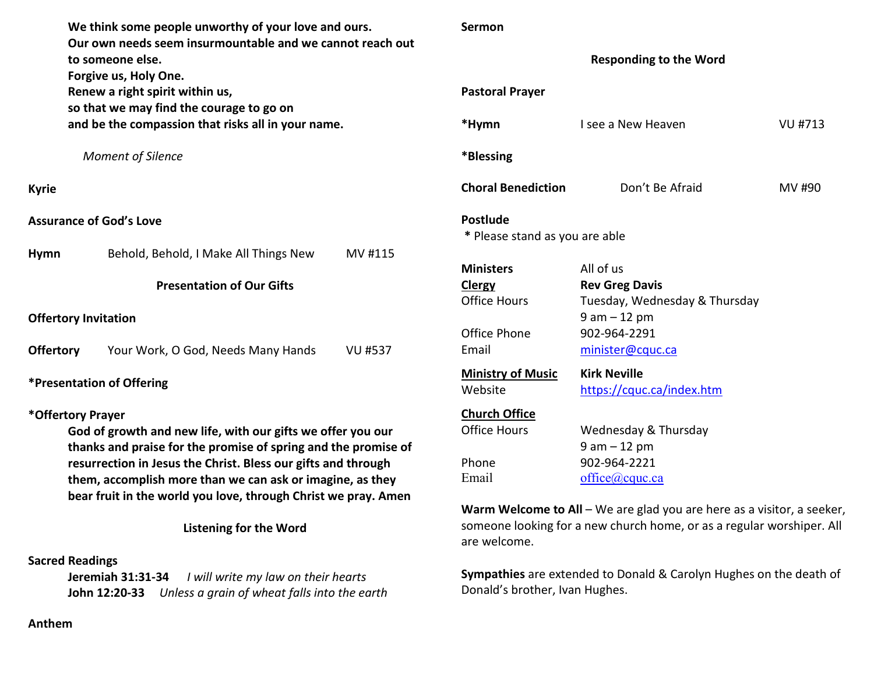**We think some people unworthy of your love and ours. Our own needs seem insurmountable and we cannot reach out to someone else. Forgive us, Holy One. Renew a right spirit within us, so that we may find the courage to go on and be the compassion that risks all in your name.** *Moment of Silence* **Kyrie Assurance of God's Love Hymn** Behold, Behold, I Make All Things New MV #115 **Presentation of Our Gifts Offertory Invitation Offertory** Your Work, O God, Needs Many Hands VU #537 **\*Presentation of Offering \*Offertory Prayer God of growth and new life, with our gifts we offer you our thanks and praise for the promise of spring and the promise of resurrection in Jesus the Christ. Bless our gifts and through them, accomplish more than we can ask or imagine, as they bear fruit in the world you love, through Christ we pray. Amen** 

**Listening for the Word** 

# **Sacred Readings**

**Jeremiah 31:31-34** *I will write my law on their hearts*  **John 12:20-33** *Unless a grain of wheat falls into the earth* 

#### **Sermon**

**Responding to the Word** 

| <b>Pastoral Prayer</b>         |                               |         |
|--------------------------------|-------------------------------|---------|
| *Hymn                          | Lsee a New Heaven             | VU #713 |
| *Blessing                      |                               |         |
| <b>Choral Benediction</b>      | Don't Be Afraid               | MV #90  |
| <b>Postlude</b>                |                               |         |
| * Please stand as you are able |                               |         |
| <b>Ministers</b>               | All of us                     |         |
| Clergy                         | <b>Rev Greg Davis</b>         |         |
| <b>Office Hours</b>            | Tuesday, Wednesday & Thursday |         |
|                                | $9$ am $-12$ pm               |         |
| Office Phone                   | 902-964-2291                  |         |
| Email                          | minister@cquc.ca              |         |
| <b>Ministry of Music</b>       | <b>Kirk Neville</b>           |         |
| Website                        | https://cquc.ca/index.htm     |         |
| <b>Church Office</b>           |                               |         |
| <b>Office Hours</b>            | Wednesday & Thursday          |         |
|                                | $9$ am $-12$ pm               |         |
| Phone                          | 902-964-2221                  |         |
|                                |                               |         |

**Warm Welcome to All** – We are glad you are here as a visitor, a seeker,someone looking for a new church home, or as a regular worshiper. All are welcome.

**Sympathies** are extended to Donald & Carolyn Hughes on the death of Donald's brother, Ivan Hughes.

#### **Anthem**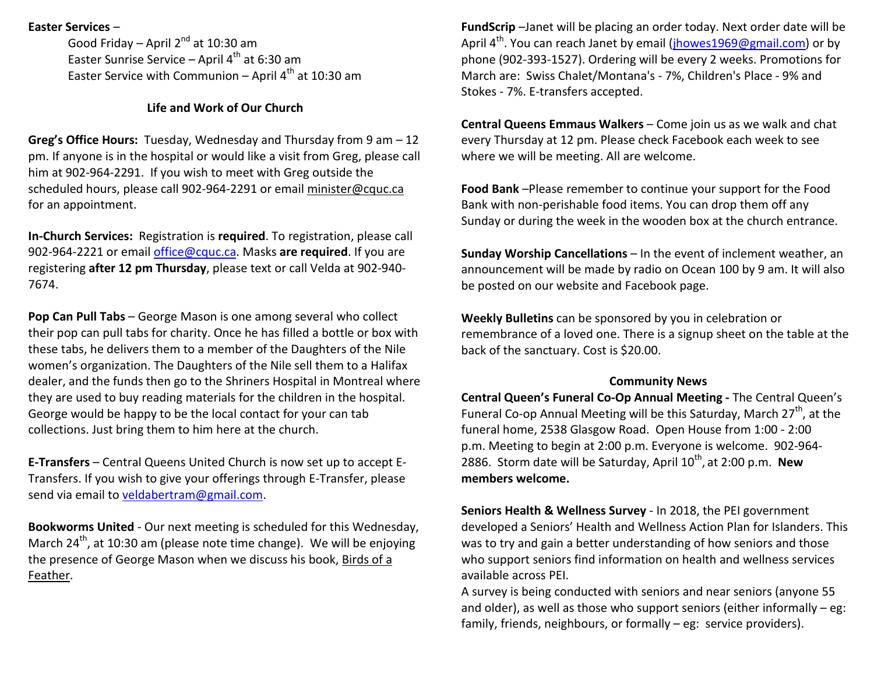## **Easter Services** –

Good Friday – April 2<sup>nd</sup> at 10:30 am Easter Sunrise Service – April 4<sup>th</sup> at 6:30 am Easter Service with Communion – April 4<sup>th</sup> at 10:30 am

# **Life and Work of Our Church**

**Greg's Office Hours:** Tuesday, Wednesday and Thursday from 9 am – 12 pm. If anyone is in the hospital or would like a visit from Greg, please call him at 902-964-2291. If you wish to meet with Greg outside the scheduled hours, please call 902-964-2291 or email minister@cquc.ca for an appointment.

**In-Church Services:** Registration is **required**. To registration, please call 902-964-2221 or email office@cquc.ca. Masks **are required**. If you are registering **after 12 pm Thursday**, please text or call Velda at 902-940- 7674.

**Pop Can Pull Tabs** – George Mason is one among several who collect their pop can pull tabs for charity. Once he has filled a bottle or box with these tabs, he delivers them to a member of the Daughters of the Nile women's organization. The Daughters of the Nile sell them to a Halifax dealer, and the funds then go to the Shriners Hospital in Montreal where they are used to buy reading materials for the children in the hospital. George would be happy to be the local contact for your can tab collections. Just bring them to him here at the church.

**E-Transfers** – Central Queens United Church is now set up to accept E-Transfers. If you wish to give your offerings through E-Transfer, please send via email to veldabertram@gmail.com.

**Bookworms United** - Our next meeting is scheduled for this Wednesday, March  $24^{th}$ , at 10:30 am (please note time change). We will be enjoying the presence of George Mason when we discuss his book, Birds of a Feather.

**FundScrip** –Janet will be placing an order today. Next order date will be April 4<sup>th</sup>. You can reach Janet by email (*jhowes1969@gmail.com*) or by phone (902-393-1527). Ordering will be every 2 weeks. Promotions for March are: Swiss Chalet/Montana's - 7%, Children's Place - 9% and Stokes - 7%. E-transfers accepted.

**Central Queens Emmaus Walkers** – Come join us as we walk and chat every Thursday at 12 pm. Please check Facebook each week to see where we will be meeting. All are welcome.

**Food Bank** –Please remember to continue your support for the Food Bank with non-perishable food items. You can drop them off any Sunday or during the week in the wooden box at the church entrance.

**Sunday Worship Cancellations** – In the event of inclement weather, an announcement will be made by radio on Ocean 100 by 9 am. It will also be posted on our website and Facebook page.

**Weekly Bulletins** can be sponsored by you in celebration or remembrance of a loved one. There is a signup sheet on the table at the back of the sanctuary. Cost is \$20.00.

#### **Community News**

 **Central Queen's Funeral Co-Op Annual Meeting -** The Central Queen's Funeral Co-op Annual Meeting will be this Saturday, March  $27<sup>th</sup>$ , at the funeral home, 2538 Glasgow Road. Open House from 1:00 - 2:00 p.m. Meeting to begin at 2:00 p.m. Everyone is welcome. 902-964-2886. Storm date will be Saturday, April 10<sup>th</sup>, at 2:00 p.m. **New members welcome.**

**Seniors Health & Wellness Survey** - In 2018, the PEI government developed a Seniors' Health and Wellness Action Plan for Islanders. This was to try and gain a better understanding of how seniors and those who support seniors find information on health and wellness services available across PEI.

A survey is being conducted with seniors and near seniors (anyone 55 and older), as well as those who support seniors (either informally – eg: family, friends, neighbours, or formally – eg: service providers).